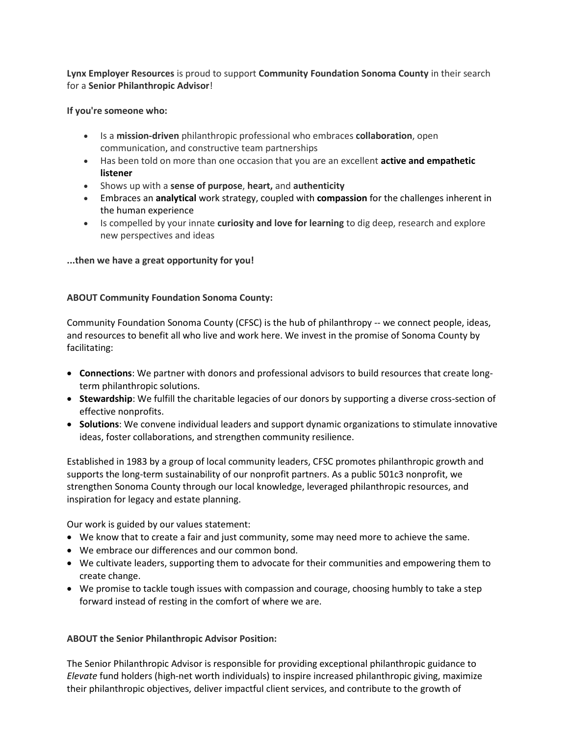**Lynx Employer Resources** is proud to support **Community Foundation Sonoma County** in their search for a **Senior Philanthropic Advisor**!

**If you're someone who:**

- Is a **mission-driven** philanthropic professional who embraces **collaboration**, open communication, and constructive team partnerships
- Has been told on more than one occasion that you are an excellent **active and empathetic listener**
- Shows up with a **sense of purpose**, **heart,** and **authenticity**
- Embraces an **analytical** work strategy, coupled with **compassion** for the challenges inherent in the human experience
- Is compelled by your innate **curiosity and love for learning** to dig deep, research and explore new perspectives and ideas

## **...then we have a great opportunity for you!**

## **ABOUT Community Foundation Sonoma County:**

Community Foundation Sonoma County (CFSC) is the hub of philanthropy -- we connect people, ideas, and resources to benefit all who live and work here. We invest in the promise of Sonoma County by facilitating:

- **Connections**: We partner with donors and professional advisors to build resources that create longterm philanthropic solutions.
- **Stewardship**: We fulfill the charitable legacies of our donors by supporting a diverse cross-section of effective nonprofits.
- **Solutions**: We convene individual leaders and support dynamic organizations to stimulate innovative ideas, foster collaborations, and strengthen community resilience.

Established in 1983 by a group of local community leaders, CFSC promotes philanthropic growth and supports the long-term sustainability of our nonprofit partners. As a public 501c3 nonprofit, we strengthen Sonoma County through our local knowledge, leveraged philanthropic resources, and inspiration for legacy and estate planning.

Our work is guided by our values statement:

- We know that to create a fair and just community, some may need more to achieve the same.
- We embrace our differences and our common bond.
- We cultivate leaders, supporting them to advocate for their communities and empowering them to create change.
- We promise to tackle tough issues with compassion and courage, choosing humbly to take a step forward instead of resting in the comfort of where we are.

## **ABOUT the Senior Philanthropic Advisor Position:**

The Senior Philanthropic Advisor is responsible for providing exceptional philanthropic guidance to *Elevate* fund holders (high-net worth individuals) to inspire increased philanthropic giving, maximize their philanthropic objectives, deliver impactful client services, and contribute to the growth of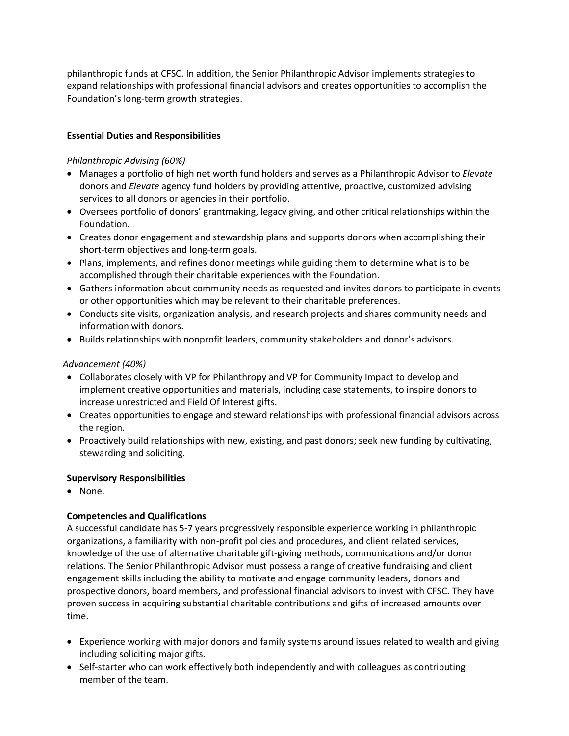philanthropic funds at CFSC. In addition, the Senior Philanthropic Advisor implements strategies to expand relationships with professional financial advisors and creates opportunities to accomplish the Foundation's long-term growth strategies.

# **Essential Duties and Responsibilities**

# *Philanthropic Advising (60%)*

- Manages a portfolio of high net worth fund holders and serves as a Philanthropic Advisor to *Elevate* donors and *Elevate* agency fund holders by providing attentive, proactive, customized advising services to all donors or agencies in their portfolio.
- Oversees portfolio of donors' grantmaking, legacy giving, and other critical relationships within the Foundation.
- Creates donor engagement and stewardship plans and supports donors when accomplishing their short-term objectives and long-term goals.
- Plans, implements, and refines donor meetings while guiding them to determine what is to be accomplished through their charitable experiences with the Foundation.
- Gathers information about community needs as requested and invites donors to participate in events or other opportunities which may be relevant to their charitable preferences.
- Conducts site visits, organization analysis, and research projects and shares community needs and information with donors.
- Builds relationships with nonprofit leaders, community stakeholders and donor's advisors.

## *Advancement (40%)*

- Collaborates closely with VP for Philanthropy and VP for Community Impact to develop and implement creative opportunities and materials, including case statements, to inspire donors to increase unrestricted and Field Of Interest gifts.
- Creates opportunities to engage and steward relationships with professional financial advisors across the region.
- Proactively build relationships with new, existing, and past donors; seek new funding by cultivating, stewarding and soliciting.

# **Supervisory Responsibilities**

• None.

# **Competencies and Qualifications**

A successful candidate has 5-7 years progressively responsible experience working in philanthropic organizations, a familiarity with non-profit policies and procedures, and client related services, knowledge of the use of alternative charitable gift-giving methods, communications and/or donor relations. The Senior Philanthropic Advisor must possess a range of creative fundraising and client engagement skills including the ability to motivate and engage community leaders, donors and prospective donors, board members, and professional financial advisors to invest with CFSC. They have proven success in acquiring substantial charitable contributions and gifts of increased amounts over time.

- Experience working with major donors and family systems around issues related to wealth and giving including soliciting major gifts.
- Self-starter who can work effectively both independently and with colleagues as contributing member of the team.